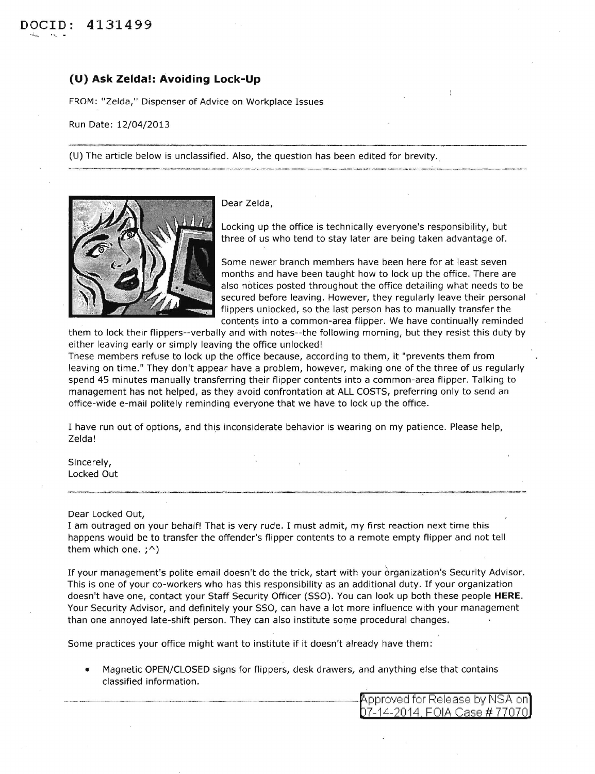## **(U) Ask Zelda!: Avoiding Lock-Up**

FROM: "Zelda," Dispenser of Advice on Workplace Issues

Run Date: 12/04/2013

(U) The article below is unclassified. Also, the question has been edited for brevity.



Dear Zelda,

Locking up the office is technically everyone's responsibility, but three of us who tend to stay later are being taken advantage of.

Some newer branch members have been here for at least seven months and have been taught how to lock up the office. There are also notices posted throughout the office detailing what needs to be secured before leaving. However, they regularly leave their personal flippers unlocked, so the last person has to manually transfer the contents into a common-area flipper. We have continually reminded

them to lock their flippers--verbally and with notes--the following morning, but they resist this duty by either leaving early or simply leaving the office unlocked!

-~- , .. --~------~----------------~--------------

These members refuse to lock up the office because, according to them, it "prevents them from leaving on time." They don't appear have a problem, however, making one of the three of us regularly spend 45 minutes manually transferring their flipper contents into a common-area flipper. Talking to management has not helped, as they avoid confrontation at ALL COSTS, preferring only to send an office-wide e-mail politely reminding everyone that we have to lock up the office.

I have run out of options, and this inconsiderate behavior is wearing on my patience. Please help, Zelda!

Sincerely, Locked Out

Dear Locked Out,

I am outraged on your behalf! That is very rude. I must admit, my first reaction next time this happens would be to transfer the offender's flipper contents to a remote empty flipper and not tell them which one.  $; \hat{\ }$ )

If your management's polite email doesn't do the trick, start with your organization's Security Advisor. This is one of your co-workers who has this responsibility as an additional duty. If your organization doesn't have one, contact your Staff Security Officer (SSO). You can look up both these people **HERE.**  Your Security Advisor, and definitely your SSO, can have a lot more influence with your management than one annoyed late-shift person. They can also institute some procedural changes.

Some practices your office might want to institute if it doesn't already have them:

• Magnetic OPEN/CLOSED signs for flippers, desk drawers, and anything else that contains classified information.

| <b>Approved for Release by NSA on</b> |
|---------------------------------------|
| 07-14-2014, FOIA Case # 77070         |